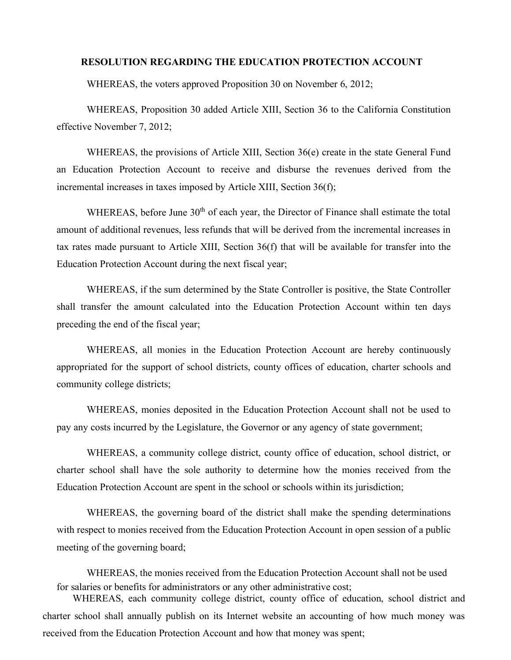## **RESOLUTION REGARDING THE EDUCATION PROTECTION ACCOUNT**

WHEREAS, the voters approved Proposition 30 on November 6, 2012;

WHEREAS, Proposition 30 added Article XIII, Section 36 to the California Constitution effective November 7, 2012;

WHEREAS, the provisions of Article XIII, Section 36(e) create in the state General Fund an Education Protection Account to receive and disburse the revenues derived from the incremental increases in taxes imposed by Article XIII, Section 36(f);

WHEREAS, before June 30<sup>th</sup> of each year, the Director of Finance shall estimate the total amount of additional revenues, less refunds that will be derived from the incremental increases in tax rates made pursuant to Article XIII, Section 36(f) that will be available for transfer into the Education Protection Account during the next fiscal year;

WHEREAS, if the sum determined by the State Controller is positive, the State Controller shall transfer the amount calculated into the Education Protection Account within ten days preceding the end of the fiscal year;

WHEREAS, all monies in the Education Protection Account are hereby continuously appropriated for the support of school districts, county offices of education, charter schools and community college districts;

WHEREAS, monies deposited in the Education Protection Account shall not be used to pay any costs incurred by the Legislature, the Governor or any agency of state government;

WHEREAS, a community college district, county office of education, school district, or charter school shall have the sole authority to determine how the monies received from the Education Protection Account are spent in the school or schools within its jurisdiction;

WHEREAS, the governing board of the district shall make the spending determinations with respect to monies received from the Education Protection Account in open session of a public meeting of the governing board;

WHEREAS, the monies received from the Education Protection Account shall not be used for salaries or benefits for administrators or any other administrative cost;

WHEREAS, each community college district, county office of education, school district and charter school shall annually publish on its Internet website an accounting of how much money was received from the Education Protection Account and how that money was spent;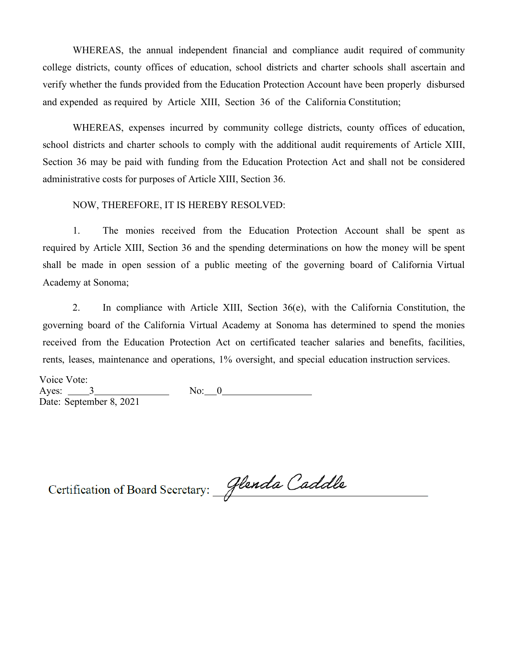WHEREAS, the annual independent financial and compliance audit required of community college districts, county offices of education, school districts and charter schools shall ascertain and verify whether the funds provided from the Education Protection Account have been properly disbursed and expended as required by Article XIII, Section 36 of the California Constitution;

WHEREAS, expenses incurred by community college districts, county offices of education, school districts and charter schools to comply with the additional audit requirements of Article XIII, Section 36 may be paid with funding from the Education Protection Act and shall not be considered administrative costs for purposes of Article XIII, Section 36.

## NOW, THEREFORE, IT IS HEREBY RESOLVED:

1. The monies received from the Education Protection Account shall be spent as required by Article XIII, Section 36 and the spending determinations on how the money will be spent shall be made in open session of a public meeting of the governing board of California Virtual Academy at Sonoma;

2. In compliance with Article XIII, Section 36(e), with the California Constitution, the governing board of the California Virtual Academy at Sonoma has determined to spend the monies received from the Education Protection Act on certificated teacher salaries and benefits, facilities, rents, leases, maintenance and operations, 1% oversight, and special education instruction services.

Voice Vote: Ayes: 3 No: 0 Date: September 8, 2021

Certification of Board Secretary: Glenda Caddle